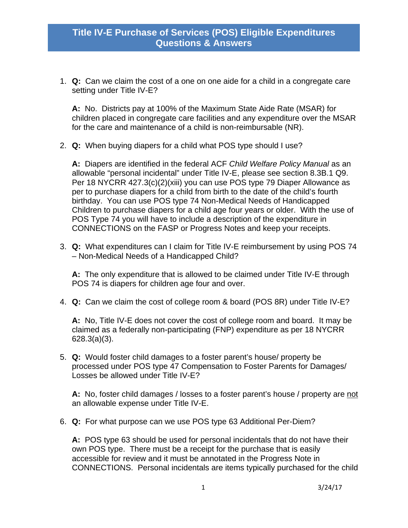1. **Q:** Can we claim the cost of a one on one aide for a child in a congregate care setting under Title IV-E?

**A:** No. Districts pay at 100% of the Maximum State Aide Rate (MSAR) for children placed in congregate care facilities and any expenditure over the MSAR for the care and maintenance of a child is non-reimbursable (NR).

2. **Q:** When buying diapers for a child what POS type should I use?

**A:** Diapers are identified in the federal ACF *Child Welfare Policy Manual* as an allowable "personal incidental" under Title IV-E, please see section 8.3B.1 Q9. Per 18 NYCRR 427.3(c)(2)(xiii) you can use POS type 79 Diaper Allowance as per to purchase diapers for a child from birth to the date of the child's fourth birthday. You can use POS type 74 Non-Medical Needs of Handicapped Children to purchase diapers for a child age four years or older. With the use of POS Type 74 you will have to include a description of the expenditure in CONNECTIONS on the FASP or Progress Notes and keep your receipts.

3. **Q:** What expenditures can I claim for Title IV-E reimbursement by using POS 74 – Non-Medical Needs of a Handicapped Child?

**A:** The only expenditure that is allowed to be claimed under Title IV-E through POS 74 is diapers for children age four and over.

4. **Q:** Can we claim the cost of college room & board (POS 8R) under Title IV-E?

**A:** No, Title IV-E does not cover the cost of college room and board. It may be claimed as a federally non-participating (FNP) expenditure as per 18 NYCRR 628.3(a)(3).

5. **Q:** Would foster child damages to a foster parent's house/ property be processed under POS type 47 Compensation to Foster Parents for Damages/ Losses be allowed under Title IV-E?

**A:** No, foster child damages / losses to a foster parent's house / property are not an allowable expense under Title IV-E.

6. **Q:** For what purpose can we use POS type 63 Additional Per-Diem?

**A:** POS type 63 should be used for personal incidentals that do not have their own POS type. There must be a receipt for the purchase that is easily accessible for review and it must be annotated in the Progress Note in CONNECTIONS. Personal incidentals are items typically purchased for the child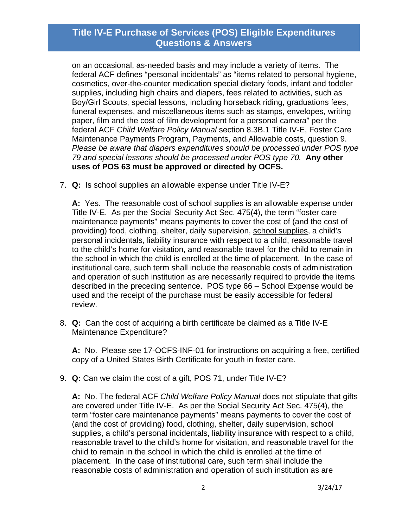on an occasional, as-needed basis and may include a variety of items. The federal ACF defines "personal incidentals" as "items related to personal hygiene, cosmetics, over-the-counter medication special dietary foods, infant and toddler supplies, including high chairs and diapers, fees related to activities, such as Boy/Girl Scouts, special lessons, including horseback riding, graduations fees, funeral expenses, and miscellaneous items such as stamps, envelopes, writing paper, film and the cost of film development for a personal camera" per the federal ACF *Child Welfare Policy Manual* section 8.3B.1 Title IV-E, Foster Care Maintenance Payments Program, Payments, and Allowable costs, question 9. *Please be aware that diapers expenditures should be processed under POS type 79 and special lessons should be processed under POS type 70.* **Any other uses of POS 63 must be approved or directed by OCFS.** 

7. **Q:** Is school supplies an allowable expense under Title IV-E?

**A:** Yes. The reasonable cost of school supplies is an allowable expense under Title IV-E. As per the Social Security Act Sec. 475(4), the term "foster care maintenance payments" means payments to cover the cost of (and the cost of providing) food, clothing, shelter, daily supervision, school supplies, a child's personal incidentals, liability insurance with respect to a child, reasonable travel to the child's home for visitation, and reasonable travel for the child to remain in the school in which the child is enrolled at the time of placement. In the case of institutional care, such term shall include the reasonable costs of administration and operation of such institution as are necessarily required to provide the items described in the preceding sentence. POS type 66 – School Expense would be used and the receipt of the purchase must be easily accessible for federal review.

8. **Q:** Can the cost of acquiring a birth certificate be claimed as a Title IV-E Maintenance Expenditure?

**A:** No. Please see 17-OCFS-INF-01 for instructions on acquiring a free, certified copy of a United States Birth Certificate for youth in foster care.

9. **Q:** Can we claim the cost of a gift, POS 71, under Title IV-E?

**A:** No. The federal ACF *Child Welfare Policy Manual* does not stipulate that gifts are covered under Title IV-E. As per the Social Security Act Sec. 475(4), the term "foster care maintenance payments" means payments to cover the cost of (and the cost of providing) food, clothing, shelter, daily supervision, school supplies, a child's personal incidentals, liability insurance with respect to a child, reasonable travel to the child's home for visitation, and reasonable travel for the child to remain in the school in which the child is enrolled at the time of placement. In the case of institutional care, such term shall include the reasonable costs of administration and operation of such institution as are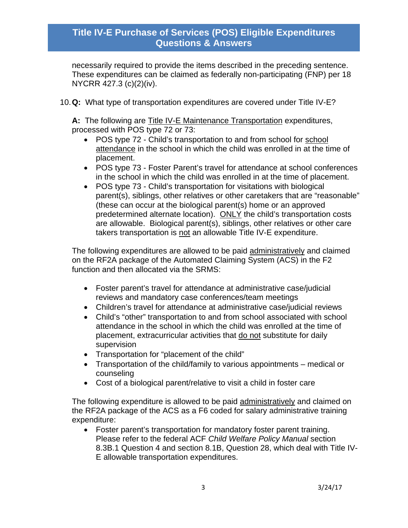necessarily required to provide the items described in the preceding sentence. These expenditures can be claimed as federally non-participating (FNP) per 18 NYCRR 427.3 (c)(2)(iv).

10. **Q:** What type of transportation expenditures are covered under Title IV-E?

**A:** The following are Title IV-E Maintenance Transportation expenditures, processed with POS type 72 or 73:

- POS type 72 Child's transportation to and from school for school attendance in the school in which the child was enrolled in at the time of placement.
- POS type 73 Foster Parent's travel for attendance at school conferences in the school in which the child was enrolled in at the time of placement.
- POS type 73 Child's transportation for visitations with biological parent(s), siblings, other relatives or other caretakers that are "reasonable" (these can occur at the biological parent(s) home or an approved predetermined alternate location). ONLY the child's transportation costs are allowable. Biological parent(s), siblings, other relatives or other care takers transportation is not an allowable Title IV-E expenditure.

The following expenditures are allowed to be paid administratively and claimed on the RF2A package of the Automated Claiming System (ACS) in the F2 function and then allocated via the SRMS:

- Foster parent's travel for attendance at administrative case/judicial reviews and mandatory case conferences/team meetings
- Children's travel for attendance at administrative case/judicial reviews
- Child's "other" transportation to and from school associated with school attendance in the school in which the child was enrolled at the time of placement, extracurricular activities that do not substitute for daily supervision
- Transportation for "placement of the child"
- Transportation of the child/family to various appointments medical or counseling
- Cost of a biological parent/relative to visit a child in foster care

The following expenditure is allowed to be paid administratively and claimed on the RF2A package of the ACS as a F6 coded for salary administrative training expenditure:

 Foster parent's transportation for mandatory foster parent training. Please refer to the federal ACF *Child Welfare Policy Manual* section 8.3B.1 Question 4 and section 8.1B, Question 28, which deal with Title IV-E allowable transportation expenditures.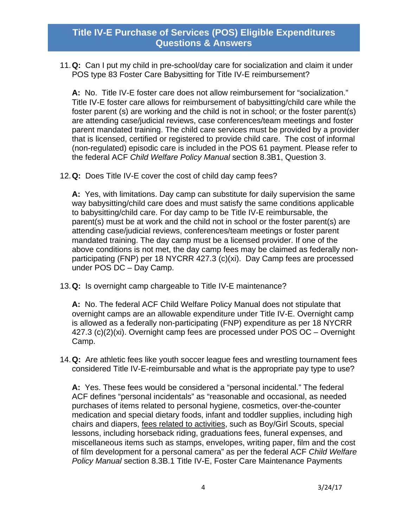11. **Q:** Can I put my child in pre-school/day care for socialization and claim it under POS type 83 Foster Care Babysitting for Title IV-E reimbursement?

**A:** No. Title IV-E foster care does not allow reimbursement for "socialization." Title IV-E foster care allows for reimbursement of babysitting/child care while the foster parent (s) are working and the child is not in school; or the foster parent(s) are attending case/judicial reviews, case conferences/team meetings and foster parent mandated training. The child care services must be provided by a provider that is licensed, certified or registered to provide child care. The cost of informal (non-regulated) episodic care is included in the POS 61 payment. Please refer to the federal ACF *Child Welfare Policy Manual* section 8.3B1, Question 3.

12. **Q:** Does Title IV-E cover the cost of child day camp fees?

**A:** Yes, with limitations. Day camp can substitute for daily supervision the same way babysitting/child care does and must satisfy the same conditions applicable to babysitting/child care. For day camp to be Title IV-E reimbursable, the parent(s) must be at work and the child not in school or the foster parent(s) are attending case/judicial reviews, conferences/team meetings or foster parent mandated training. The day camp must be a licensed provider. If one of the above conditions is not met, the day camp fees may be claimed as federally nonparticipating (FNP) per 18 NYCRR 427.3 (c)(xi). Day Camp fees are processed under POS DC – Day Camp.

13. **Q:** Is overnight camp chargeable to Title IV-E maintenance?

**A:** No. The federal ACF Child Welfare Policy Manual does not stipulate that overnight camps are an allowable expenditure under Title IV-E. Overnight camp is allowed as a federally non-participating (FNP) expenditure as per 18 NYCRR 427.3 (c)(2)(xi). Overnight camp fees are processed under POS OC – Overnight Camp.

14. **Q:** Are athletic fees like youth soccer league fees and wrestling tournament fees considered Title IV-E-reimbursable and what is the appropriate pay type to use?

**A:** Yes. These fees would be considered a "personal incidental." The federal ACF defines "personal incidentals" as "reasonable and occasional, as needed purchases of items related to personal hygiene, cosmetics, over-the-counter medication and special dietary foods, infant and toddler supplies, including high chairs and diapers, fees related to activities, such as Boy/Girl Scouts, special lessons, including horseback riding, graduations fees, funeral expenses, and miscellaneous items such as stamps, envelopes, writing paper, film and the cost of film development for a personal camera" as per the federal ACF *Child Welfare Policy Manual* section 8.3B.1 Title IV-E, Foster Care Maintenance Payments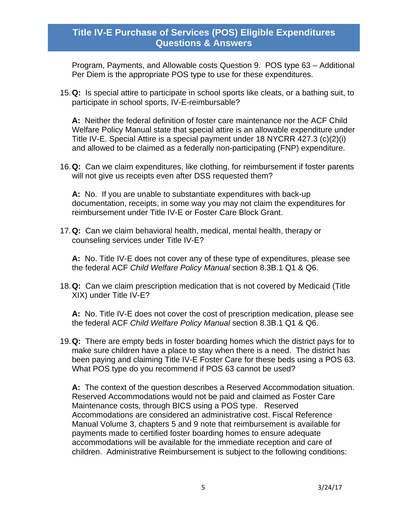Program, Payments, and Allowable costs Question 9. POS type 63 – Additional Per Diem is the appropriate POS type to use for these expenditures.

15. **Q:** Is special attire to participate in school sports like cleats, or a bathing suit, to participate in school sports, IV-E-reimbursable?

**A:** Neither the federal definition of foster care maintenance nor the ACF Child Welfare Policy Manual state that special attire is an allowable expenditure under Title IV-E. Special Attire is a special payment under 18 NYCRR 427.3 (c)(2)(i) and allowed to be claimed as a federally non-participating (FNP) expenditure.

16. **Q:** Can we claim expenditures, like clothing, for reimbursement if foster parents will not give us receipts even after DSS requested them?

**A:** No. If you are unable to substantiate expenditures with back-up documentation, receipts, in some way you may not claim the expenditures for reimbursement under Title IV-E or Foster Care Block Grant.

17. **Q:** Can we claim behavioral health, medical, mental health, therapy or counseling services under Title IV-E?

**A:** No. Title IV-E does not cover any of these type of expenditures, please see the federal ACF *Child Welfare Policy Manual* section 8.3B.1 Q1 & Q6.

18. **Q:** Can we claim prescription medication that is not covered by Medicaid (Title XIX) under Title IV-E?

**A:** No. Title IV-E does not cover the cost of prescription medication, please see the federal ACF *Child Welfare Policy Manual* section 8.3B.1 Q1 & Q6.

19. **Q:** There are empty beds in foster boarding homes which the district pays for to make sure children have a place to stay when there is a need. The district has been paying and claiming Title IV-E Foster Care for these beds using a POS 63. What POS type do you recommend if POS 63 cannot be used?

**A:** The context of the question describes a Reserved Accommodation situation. Reserved Accommodations would not be paid and claimed as Foster Care Maintenance costs, through BICS using a POS type. Reserved Accommodations are considered an administrative cost. Fiscal Reference Manual Volume 3, chapters 5 and 9 note that reimbursement is available for payments made to certified foster boarding homes to ensure adequate accommodations will be available for the immediate reception and care of children. Administrative Reimbursement is subject to the following conditions: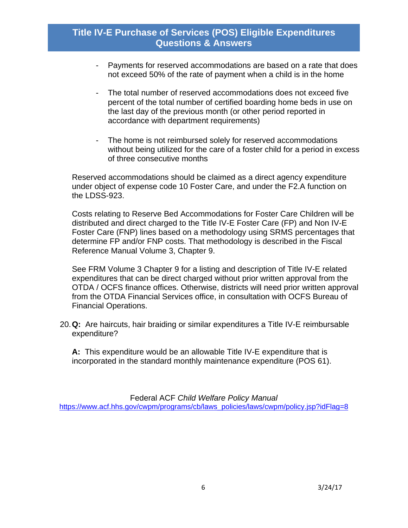- Payments for reserved accommodations are based on a rate that does not exceed 50% of the rate of payment when a child is in the home
- The total number of reserved accommodations does not exceed five percent of the total number of certified boarding home beds in use on the last day of the previous month (or other period reported in accordance with department requirements)
- The home is not reimbursed solely for reserved accommodations without being utilized for the care of a foster child for a period in excess of three consecutive months

Reserved accommodations should be claimed as a direct agency expenditure under object of expense code 10 Foster Care, and under the F2.A function on the LDSS-923.

Costs relating to Reserve Bed Accommodations for Foster Care Children will be distributed and direct charged to the Title IV-E Foster Care (FP) and Non IV-E Foster Care (FNP) lines based on a methodology using SRMS percentages that determine FP and/or FNP costs. That methodology is described in the Fiscal Reference Manual Volume 3, Chapter 9.

See FRM Volume 3 Chapter 9 for a listing and description of Title IV-E related expenditures that can be direct charged without prior written approval from the OTDA / OCFS finance offices. Otherwise, districts will need prior written approval from the OTDA Financial Services office, in consultation with OCFS Bureau of Financial Operations.

20. **Q:** Are haircuts, hair braiding or similar expenditures a Title IV-E reimbursable expenditure?

**A:** This expenditure would be an allowable Title IV-E expenditure that is incorporated in the standard monthly maintenance expenditure (POS 61).

Federal ACF *Child Welfare Policy Manual* https://www.acf.hhs.gov/cwpm/programs/cb/laws\_policies/laws/cwpm/policy.jsp?idFlag=8